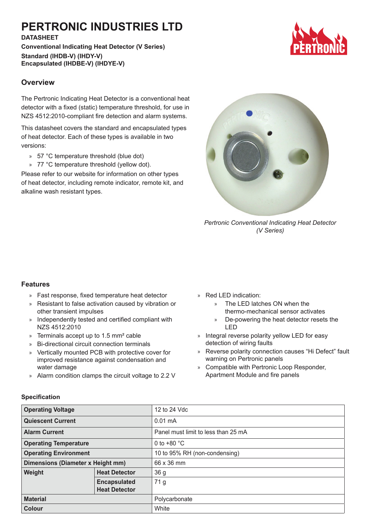# **PERTRONIC INDUSTRIES LTD**

#### **DATASHEET**

**Conventional Indicating Heat Detector (V Series) Standard (IHDB-V) (IHDY-V) Encapsulated (IHDBE-V) (IHDYE-V)**



The Pertronic Indicating Heat Detector is a conventional heat detector with a fixed (static) temperature threshold, for use in NZS 4512:2010-compliant fire detection and alarm systems.

This datasheet covers the standard and encapsulated types of heat detector. Each of these types is available in two versions:

- » 57 °C temperature threshold (blue dot)
- » 77 °C temperature threshold (yellow dot).

Please refer to our website for information on other types of heat detector, including remote indicator, remote kit, and alkaline wash resistant types.



*Pertronic Conventional Indicating Heat Detector (V Series)*

### **Features**

- » Fast response, fixed temperature heat detector
- » Resistant to false activation caused by vibration or other transient impulses
- » Independently tested and certified compliant with NZS 4512:2010
- » Terminals accept up to 1.5 mm² cable
- » Bi-directional circuit connection terminals
- » Vertically mounted PCB with protective cover for improved resistance against condensation and water damage
- » Alarm condition clamps the circuit voltage to 2.2 V
- » Red LED indication:
	- » The LED latches ON when the thermo-mechanical sensor activates
	- » De-powering the heat detector resets the LED
- » Integral reverse polarity yellow LED for easy detection of wiring faults
- » Reverse polarity connection causes "Hi Defect" fault warning on Pertronic panels
- » Compatible with Pertronic Loop Responder, Apartment Module and fire panels

| <b>Operating Voltage</b>          |                      | 12 to 24 Vdc                        |
|-----------------------------------|----------------------|-------------------------------------|
| <b>Quiescent Current</b>          |                      | $0.01 \text{ mA}$                   |
| <b>Alarm Current</b>              |                      | Panel must limit to less than 25 mA |
| <b>Operating Temperature</b>      |                      | 0 to $+80$ °C                       |
| <b>Operating Environment</b>      |                      | 10 to 95% RH (non-condensing)       |
| Dimensions (Diameter x Height mm) |                      | 66 x 36 mm                          |
| Weight                            | <b>Heat Detector</b> | 36 <sub>g</sub>                     |
|                                   | <b>Encapsulated</b>  | 71 g                                |
|                                   | <b>Heat Detector</b> |                                     |
| <b>Material</b>                   |                      | Polycarbonate                       |
| <b>Colour</b>                     |                      | White                               |

#### **Specification**